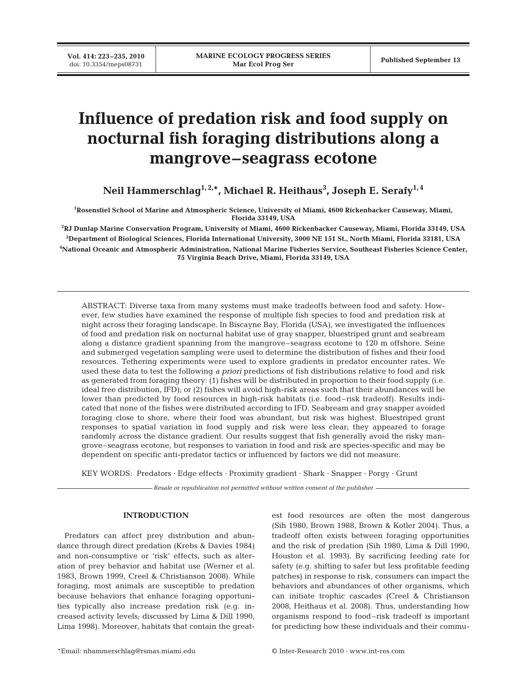# **Influence of predation risk and food supply on nocturnal fish foraging distributions along a mangrove–seagrass ecotone**

**Neil Hammerschlag1, 2,\*, Michael R. Heithaus3 , Joseph E. Serafy1, 4**

**1 Rosenstiel School of Marine and Atmospheric Science, University of Miami, 4600 Rickenbacker Causeway, Miami, Florida 33149, USA**

 **RJ Dunlap Marine Conservation Program, University of Miami, 4600 Rickenbacker Causeway, Miami, Florida 33149, USA Department of Biological Sciences, Florida International University, 3000 NE 151 St., North Miami, Florida 33181, USA National Oceanic and Atmospheric Administration, National Marine Fisheries Service, Southeast Fisheries Science Center, 75 Virginia Beach Drive, Miami, Florida 33149, USA**

ABSTRACT: Diverse taxa from many systems must make tradeoffs between food and safety. However, few studies have examined the response of multiple fish species to food and predation risk at night across their foraging landscape. In Biscayne Bay, Florida (USA), we investigated the influences of food and predation risk on nocturnal habitat use of gray snapper, bluestriped grunt and seabream along a distance gradient spanning from the mangrove–seagrass ecotone to 120 m offshore. Seine and submerged vegetation sampling were used to determine the distribution of fishes and their food resources. Tethering experiments were used to explore gradients in predator encounter rates. We used these data to test the following *a priori* predictions of fish distributions relative to food and risk as generated from foraging theory: (1) fishes will be distributed in proportion to their food supply (i.e. ideal free distribution, IFD); or (2) fishes will avoid high-risk areas such that their abundances will be lower than predicted by food resources in high-risk habitats (i.e. food–risk tradeoff). Results indicated that none of the fishes were distributed according to IFD. Seabream and gray snapper avoided foraging close to shore, where their food was abundant, but risk was highest. Bluestriped grunt responses to spatial variation in food supply and risk were less clear; they appeared to forage randomly across the distance gradient. Our results suggest that fish generally avoid the risky mangrove–seagrass ecotone, but responses to variation in food and risk are species-specific and may be dependent on specific anti-predator tactics or influenced by factors we did not measure.

KEY WORDS: Predators · Edge effects · Proximity gradient · Shark · Snapper · Porgy · Grunt

*Resale or republication not permitted without written consent of the publisher*

## **INTRODUCTION**

Predators can affect prey distribution and abundance through direct predation (Krebs & Davies 1984) and non-consumptive or 'risk' effects, such as alteration of prey behavior and habitat use (Werner et al. 1983, Brown 1999, Creel & Christianson 2008). While foraging, most animals are susceptible to predation because behaviors that enhance foraging opportunities typically also increase predation risk (e.g. increased activity levels; discussed by Lima & Dill 1990, Lima 1998). Moreover, habitats that contain the greatest food resources are often the most dangerous (Sih 1980, Brown 1988, Brown & Kotler 2004). Thus, a tradeoff often exists between foraging opportunities and the risk of predation (Sih 1980, Lima & Dill 1990, Houston et al. 1993). By sacrificing feeding rate for safety (e.g. shifting to safer but less profitable feeding patches) in response to risk, consumers can impact the behaviors and abundances of other organisms, which can initiate trophic cascades (Creel & Christianson 2008, Heithaus et al. 2008). Thus, understanding how organisms respond to food–risk tradeoff is important for predicting how these individuals and their commu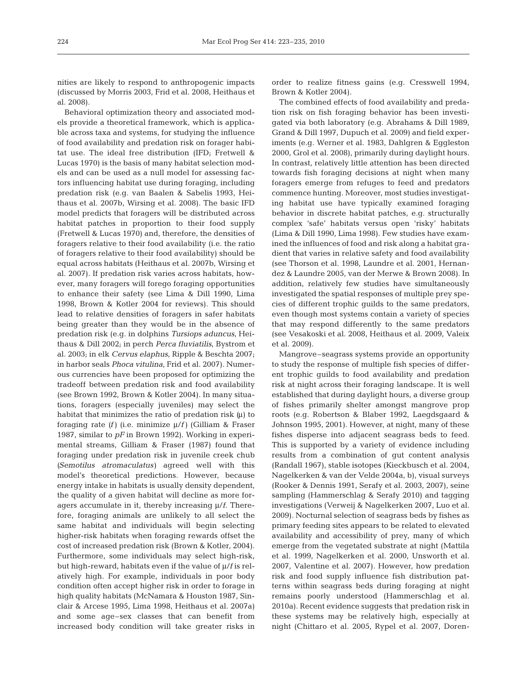nities are likely to respond to anthropogenic impacts (discussed by Morris 2003, Frid et al. 2008, Heithaus et al. 2008).

Behavioral optimization theory and associated models provide a theoretical framework, which is applicable across taxa and systems, for studying the influence of food availability and predation risk on forager habitat use. The ideal free distribution (IFD; Fretwell & Lucas 1970) is the basis of many habitat selection models and can be used as a null model for assessing factors influencing habitat use during foraging, including predation risk (e.g. van Baalen & Sabelis 1993, Heithaus et al. 2007b, Wirsing et al. 2008). The basic IFD model predicts that foragers will be distributed across habitat patches in proportion to their food supply (Fretwell & Lucas 1970) and, therefore, the densities of foragers relative to their food availability (i.e. the ratio of foragers relative to their food availability) should be equal across habitats (Heithaus et al. 2007b, Wirsing et al. 2007). If predation risk varies across habitats, however, many foragers will forego foraging opportunities to enhance their safety (see Lima & Dill 1990, Lima 1998, Brown & Kotler 2004 for reviews). This should lead to relative densities of foragers in safer habitats being greater than they would be in the absence of predation risk (e.g. in dolphins *Tursiops aduncus*, Heithaus & Dill 2002; in perch *Perca fluviatilis*, Bystrom et al. 2003; in elk *Cervus elaphus*, Ripple & Beschta 2007; in harbor seals *Phoca vitulina*, Frid et al. 2007). Numerous currencies have been proposed for optimizing the tradeoff between predation risk and food availability (see Brown 1992, Brown & Kotler 2004). In many situations, foragers (especially juveniles) may select the habitat that minimizes the ratio of predation risk *(*μ) to foraging rate *(f)* (i.e. minimize μ/*f)* (Gilliam & Fraser 1987, similar to *pF* in Brown 1992). Working in experimental streams, Gilliam & Fraser (1987) found that foraging under predation risk in juvenile creek chub *(Semotilus atromaculatus)* agreed well with this model's theoretical predictions. However, because energy intake in habitats is usually density dependent, the quality of a given habitat will decline as more foragers accumulate in it, thereby increasing μ/*f*. Therefore, foraging animals are unlikely to all select the same habitat and individuals will begin selecting higher-risk habitats when foraging rewards offset the cost of increased predation risk (Brown & Kotler, 2004). Furthermore, some individuals may select high-risk, but high-reward, habitats even if the value of μ/*f* is relatively high. For example, individuals in poor body condition often accept higher risk in order to forage in high quality habitats (McNamara & Houston 1987, Sinclair & Arcese 1995, Lima 1998, Heithaus et al. 2007a) and some age–sex classes that can benefit from increased body condition will take greater risks in

order to realize fitness gains (e.g. Cresswell 1994, Brown & Kotler 2004).

The combined effects of food availability and predation risk on fish foraging behavior has been investigated via both laboratory (e.g. Abrahams & Dill 1989, Grand & Dill 1997, Dupuch et al. 2009) and field experiments (e.g. Werner et al. 1983, Dahlgren & Eggleston 2000, Grol et al. 2008), primarily during daylight hours. In contrast, relatively little attention has been directed towards fish foraging decisions at night when many foragers emerge from refuges to feed and predators commence hunting. Moreover, most studies investigating habitat use have typically examined foraging behavior in discrete habitat patches, e.g. structurally complex 'safe' habitats versus open 'risky' habitats (Lima & Dill 1990, Lima 1998). Few studies have examined the influences of food and risk along a habitat gradient that varies in relative safety and food availability (see Thorson et al. 1998, Laundre et al. 2001, Hernandez & Laundre 2005, van der Merwe & Brown 2008). In addition, relatively few studies have simultaneously investigated the spatial responses of multiple prey species of different trophic guilds to the same predators, even though most systems contain a variety of species that may respond differently to the same predators (see Vesakoski et al. 2008, Heithaus et al. 2009, Valeix et al. 2009).

Mangrove–seagrass systems provide an opportunity to study the response of multiple fish species of different trophic guilds to food availability and predation risk at night across their foraging landscape. It is well established that during daylight hours, a diverse group of fishes primarily shelter amongst mangrove prop roots (e.g. Robertson & Blaber 1992, Laegdsgaard & Johnson 1995, 2001). However, at night, many of these fishes disperse into adjacent seagrass beds to feed. This is supported by a variety of evidence including results from a combination of gut content analysis (Randall 1967), stable isotopes (Kieckbusch et al. 2004, Nagelkerken & van der Velde 2004a, b), visual surveys (Rooker & Dennis 1991, Serafy et al. 2003, 2007), seine sampling (Hammerschlag & Serafy 2010) and tagging investigations (Verweij & Nagelkerken 2007, Luo et al. 2009). Nocturnal selection of seagrass beds by fishes as primary feeding sites appears to be related to elevated availability and accessibility of prey, many of which emerge from the vegetated substrate at night (Mattila et al. 1999, Nagelkerken et al. 2000, Unsworth et al. 2007, Valentine et al. 2007). However, how predation risk and food supply influence fish distribution patterns within seagrass beds during foraging at night remains poorly understood (Hammerschlag et al. 2010a). Recent evidence suggests that predation risk in these systems may be relatively high, especially at night (Chittaro et al. 2005, Rypel et al. 2007, Doren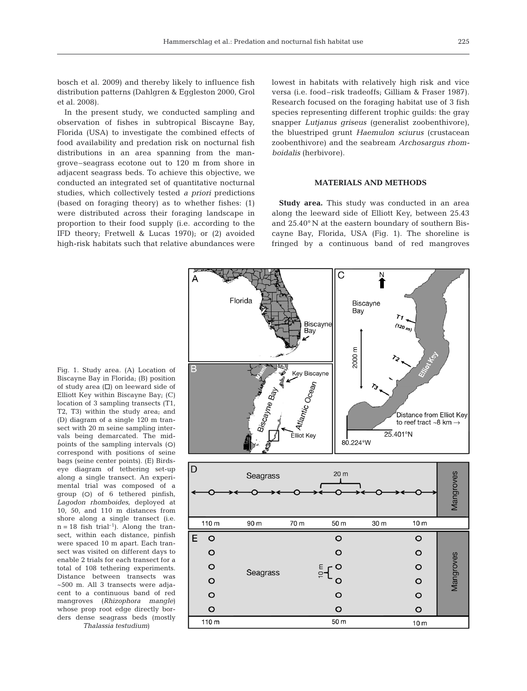bosch et al. 2009) and thereby likely to influence fish distribution patterns (Dahlgren & Eggleston 2000, Grol et al. 2008).

In the present study, we conducted sampling and observation of fishes in subtropical Biscayne Bay, Florida (USA) to investigate the combined effects of food availability and predation risk on nocturnal fish distributions in an area spanning from the mangrove–seagrass ecotone out to 120 m from shore in adjacent seagrass beds. To achieve this objective, we conducted an integrated set of quantitative nocturnal studies, which collectively tested *a priori* predictions (based on foraging theory) as to whether fishes: (1) were distributed across their foraging landscape in proportion to their food supply (i.e. according to the IFD theory; Fretwell & Lucas 1970); or (2) avoided high-risk habitats such that relative abundances were

lowest in habitats with relatively high risk and vice versa (i.e. food–risk tradeoffs; Gilliam & Fraser 1987). Research focused on the foraging habitat use of 3 fish species representing different trophic guilds: the gray snapper *Lutjanus griseus* (generalist zoobenthivore), the bluestriped grunt *Haemulon sciurus* (crustacean zoobenthivore) and the seabream *Archosargus rhomboidalis* (herbivore).

## **MATERIALS AND METHODS**

**Study area.** This study was conducted in an area along the leeward side of Elliott Key, between 25.43 and 25.40° N at the eastern boundary of southern Biscayne Bay, Florida, USA (Fig. 1). The shoreline is fringed by a continuous band of red mangroves



Fig. 1. Study area. (A) Location of Biscayne Bay in Florida; (B) position of study area  $(\Box)$  on leeward side of Elliott Key within Biscayne Bay; (C) location of 3 sampling transects (T1, T2, T3) within the study area; and (D) diagram of a single 120 m transect with 20 m seine sampling intervals being demarcated. The midpoints of the sampling intervals  $(O)$ correspond with positions of seine bags (seine center points). (E) Birdseye diagram of tethering set-up along a single transect. An experimental trial was composed of a group (O) of 6 tethered pinfish, *Lagodon rhomboides,* deployed at 10, 50, and 110 m distances from shore along a single transect (i.e.  $n = 18$  fish trial<sup>-1</sup>). Along the transect, within each distance, pinfish were spaced 10 m apart. Each transect was visited on different days to enable 2 trials for each transect for a total of 108 tethering experiments. Distance between transects was ~500 m. All 3 transects were adjacent to a continuous band of red mangroves (*Rhizophora mangle*) whose prop root edge directly borders dense seagrass beds (mostly *Thalassia testudium*)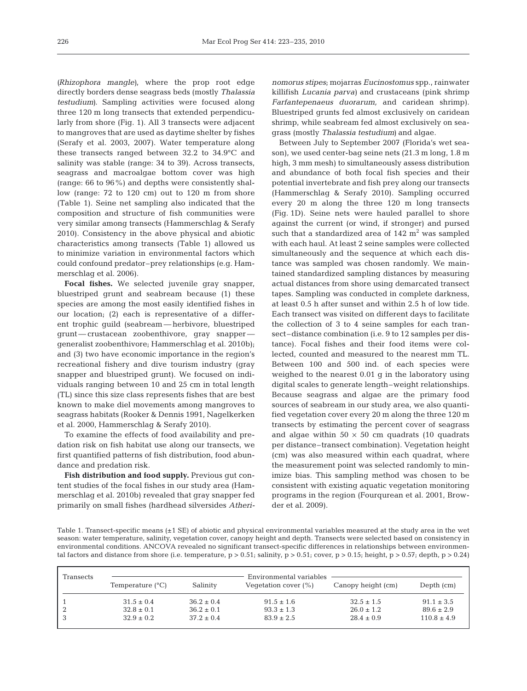*(Rhizophora mangle)*, where the prop root edge directly borders dense seagrass beds (mostly *Thalassia testudium)*. Sampling activities were focused along three 120 m long transects that extended perpendicularly from shore (Fig. 1). All 3 transects were adjacent to mangroves that are used as daytime shelter by fishes (Serafy et al. 2003, 2007). Water temperature along these transects ranged between 32.2 to 34.9°C and salinity was stable (range: 34 to 39). Across transects, seagrass and macroalgae bottom cover was high (range: 66 to 96%) and depths were consistently shallow (range: 72 to 120 cm) out to 120 m from shore (Table 1). Seine net sampling also indicated that the composition and structure of fish communities were very similar among transects (Hammerschlag & Serafy 2010). Consistency in the above physical and abiotic characteristics among transects (Table 1) allowed us to minimize variation in environmental factors which could confound predator–prey relationships (e.g. Hammerschlag et al. 2006).

**Focal fishes.** We selected juvenile gray snapper, bluestriped grunt and seabream because (1) these species are among the most easily identified fishes in our location; (2) each is representative of a different trophic guild (seabream — herbivore, bluestriped grunt — crustacean zoobenthivore, gray snapper generalist zoobenthivore; Hammerschlag et al. 2010b); and (3) two have economic importance in the region's recreational fishery and dive tourism industry (gray snapper and bluestriped grunt). We focused on individuals ranging between 10 and 25 cm in total length (TL) since this size class represents fishes that are best known to make diel movements among mangroves to seagrass habitats (Rooker & Dennis 1991, Nagelkerken et al. 2000, Hammerschlag & Serafy 2010).

To examine the effects of food availability and predation risk on fish habitat use along our transects, we first quantified patterns of fish distribution, food abundance and predation risk.

**Fish distribution and food supply.** Previous gut content studies of the focal fishes in our study area (Hammerschlag et al. 2010b) revealed that gray snapper fed primarily on small fishes (hardhead silversides *Atheri-* *nomorus stipes*; mojarras *Eucinostomus* spp., rainwater killifish *Lucania parva)* and crustaceans (pink shrimp *Farfantepenaeus duorarum,* and caridean shrimp). Bluestriped grunts fed almost exclusively on caridean shrimp, while seabream fed almost exclusively on seagrass (mostly *Thalassia testudium)* and algae.

Between July to September 2007 (Florida's wet season), we used center-bag seine nets (21.3 m long, 1.8 m high, 3 mm mesh) to simultaneously assess distribution and abundance of both focal fish species and their potential invertebrate and fish prey along our transects (Hammerschlag & Serafy 2010). Sampling occurred every 20 m along the three 120 m long transects (Fig. 1D). Seine nets were hauled parallel to shore against the current (or wind, if stronger) and pursed such that a standardized area of  $142 \text{ m}^2$  was sampled with each haul. At least 2 seine samples were collected simultaneously and the sequence at which each distance was sampled was chosen randomly. We maintained standardized sampling distances by measuring actual distances from shore using demarcated transect tapes. Sampling was conducted in complete darkness, at least 0.5 h after sunset and within 2.5 h of low tide. Each transect was visited on different days to facilitate the collection of 3 to 4 seine samples for each transect–distance combination (i.e. 9 to 12 samples per distance). Focal fishes and their food items were collected, counted and measured to the nearest mm TL. Between 100 and 500 ind. of each species were weighed to the nearest 0.01 g in the laboratory using digital scales to generate length–weight relationships. Because seagrass and algae are the primary food sources of seabream in our study area, we also quantified vegetation cover every 20 m along the three 120 m transects by estimating the percent cover of seagrass and algae within  $50 \times 50$  cm quadrats (10 quadrats per distance–transect combination). Vegetation height (cm) was also measured within each quadrat, where the measurement point was selected randomly to minimize bias. This sampling method was chosen to be consistent with existing aquatic vegetation monitoring programs in the region (Fourqurean et al. 2001, Browder et al. 2009).

Table 1. Transect-specific means (±1 SE) of abiotic and physical environmental variables measured at the study area in the wet season: water temperature, salinity, vegetation cover, canopy height and depth. Transects were selected based on consistency in environmental conditions. ANCOVA revealed no significant transect-specific differences in relationships between environmental factors and distance from shore (i.e. temperature,  $p > 0.51$ ; salinity,  $p > 0.51$ ; cover,  $p > 0.15$ ; height,  $p > 0.57$ ; depth,  $p > 0.24$ )

| Transects | Temperature $(^{\circ}C)$ | Salinity       | Environmental variables<br>Vegetation cover $(\% )$ | Canopy height (cm) | Depth $(cm)$    |
|-----------|---------------------------|----------------|-----------------------------------------------------|--------------------|-----------------|
|           | $31.5 \pm 0.4$            | $36.2 \pm 0.4$ | $91.5 \pm 1.6$                                      | $32.5 \pm 1.5$     | $91.1 \pm 3.5$  |
| 2         | $32.8 \pm 0.1$            | $36.2 \pm 0.1$ | $93.3 \pm 1.3$                                      | $26.0 \pm 1.2$     | $89.6 \pm 2.9$  |
|           | $32.9 \pm 0.2$            | $37.2 \pm 0.4$ | $83.9 \pm 2.5$                                      | $28.4 \pm 0.9$     | $110.8 \pm 4.9$ |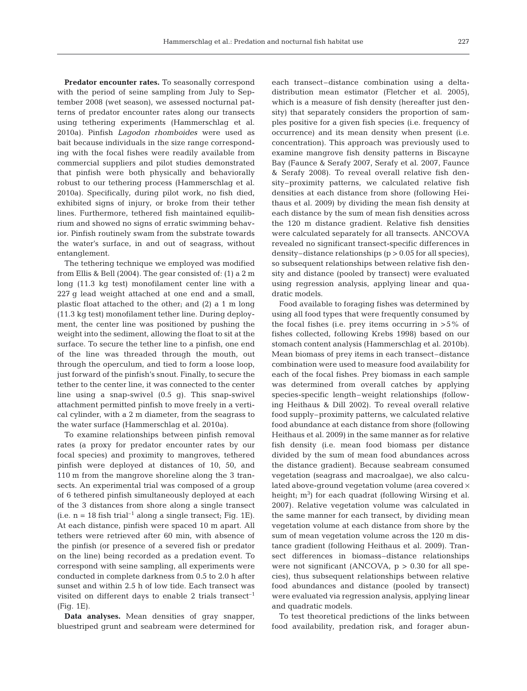**Predator encounter rates.** To seasonally correspond with the period of seine sampling from July to September 2008 (wet season), we assessed nocturnal patterns of predator encounter rates along our transects using tethering experiments (Hammerschlag et al. 2010a). Pinfish *Lagodon rhomboides* were used as bait because individuals in the size range corresponding with the focal fishes were readily available from commercial suppliers and pilot studies demonstrated that pinfish were both physically and behaviorally robust to our tethering process (Hammerschlag et al. 2010a). Specifically, during pilot work, no fish died, exhibited signs of injury, or broke from their tether lines. Furthermore, tethered fish maintained equilibrium and showed no signs of erratic swimming behavior. Pinfish routinely swam from the substrate towards the water's surface, in and out of seagrass, without entanglement.

The tethering technique we employed was modified from Ellis & Bell (2004). The gear consisted of: (1) a 2 m long (11.3 kg test) monofilament center line with a 227 g lead weight attached at one end and a small, plastic float attached to the other; and (2) a 1 m long (11.3 kg test) monofilament tether line. During deployment, the center line was positioned by pushing the weight into the sediment, allowing the float to sit at the surface. To secure the tether line to a pinfish, one end of the line was threaded through the mouth, out through the operculum, and tied to form a loose loop, just forward of the pinfish's snout. Finally, to secure the tether to the center line, it was connected to the center line using a snap-swivel (0.5 g). This snap-swivel attachment permitted pinfish to move freely in a vertical cylinder, with a 2 m diameter, from the seagrass to the water surface (Hammerschlag et al. 2010a).

To examine relationships between pinfish removal rates (a proxy for predator encounter rates by our focal species) and proximity to mangroves, tethered pinfish were deployed at distances of 10, 50, and 110 m from the mangrove shoreline along the 3 transects. An experimental trial was composed of a group of 6 tethered pinfish simultaneously deployed at each of the 3 distances from shore along a single transect (i.e.  $n = 18$  fish trial<sup>-1</sup> along a single transect; Fig. 1E). At each distance, pinfish were spaced 10 m apart. All tethers were retrieved after 60 min, with absence of the pinfish (or presence of a severed fish or predator on the line) being recorded as a predation event. To correspond with seine sampling, all experiments were conducted in complete darkness from 0.5 to 2.0 h after sunset and within 2.5 h of low tide. Each transect was visited on different days to enable 2 trials transect<sup>-1</sup> (Fig. 1E).

**Data analyses.** Mean densities of gray snapper, bluestriped grunt and seabream were determined for each transect–distance combination using a deltadistribution mean estimator (Fletcher et al. 2005), which is a measure of fish density (hereafter just density) that separately considers the proportion of samples positive for a given fish species (i.e. frequency of occurrence) and its mean density when present (i.e. concentration). This approach was previously used to examine mangrove fish density patterns in Biscayne Bay (Faunce & Serafy 2007, Serafy et al. 2007, Faunce & Serafy 2008). To reveal overall relative fish density–proximity patterns, we calculated relative fish densities at each distance from shore (following Heithaus et al. 2009) by dividing the mean fish density at each distance by the sum of mean fish densities across the 120 m distance gradient. Relative fish densities were calculated separately for all transects. ANCOVA revealed no significant transect-specific differences in density–distance relationships (p > 0.05 for all species), so subsequent relationships between relative fish density and distance (pooled by transect) were evaluated using regression analysis, applying linear and quadratic models.

Food available to foraging fishes was determined by using all food types that were frequently consumed by the focal fishes (i.e. prey items occurring in  $>5\%$  of fishes collected, following Krebs 1998) based on our stomach content analysis (Hammerschlag et al. 2010b). Mean biomass of prey items in each transect–distance combination were used to measure food availability for each of the focal fishes. Prey biomass in each sample was determined from overall catches by applying species-specific length–weight relationships (following Heithaus & Dill 2002). To reveal overall relative food supply–proximity patterns, we calculated relative food abundance at each distance from shore (following Heithaus et al. 2009) in the same manner as for relative fish density (i.e. mean food biomass per distance divided by the sum of mean food abundances across the distance gradient). Because seabream consumed vegetation (seagrass and macroalgae), we also calculated above-ground vegetation volume (area covered  $\times$ height; m<sup>3</sup>) for each quadrat (following Wirsing et al. 2007). Relative vegetation volume was calculated in the same manner for each transect, by dividing mean vegetation volume at each distance from shore by the sum of mean vegetation volume across the 120 m distance gradient (following Heithaus et al. 2009). Transect differences in biomass–distance relationships were not significant (ANCOVA,  $p > 0.30$  for all species), thus subsequent relationships between relative food abundances and distance (pooled by transect) were evaluated via regression analysis, applying linear and quadratic models.

To test theoretical predictions of the links between food availability, predation risk, and forager abun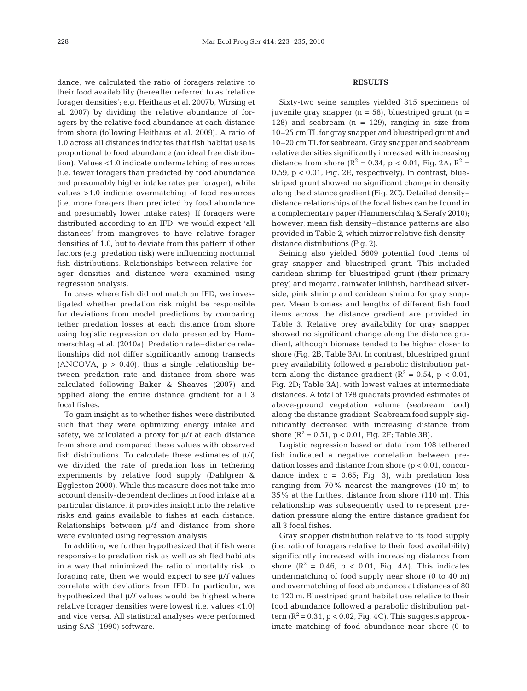dance, we calculated the ratio of foragers relative to their food availability (hereafter referred to as 'relative forager densities'; e.g. Heithaus et al. 2007b, Wirsing et al. 2007) by dividing the relative abundance of foragers by the relative food abundance at each distance from shore (following Heithaus et al. 2009). A ratio of 1.0 across all distances indicates that fish habitat use is proportional to food abundance (an ideal free distribution). Values <1.0 indicate undermatching of resources (i.e. fewer foragers than predicted by food abundance and presumably higher intake rates per forager), while values >1.0 indicate overmatching of food resources (i.e. more foragers than predicted by food abundance and presumably lower intake rates). If foragers were distributed according to an IFD, we would expect 'all distances' from mangroves to have relative forager densities of 1.0, but to deviate from this pattern if other factors (e.g. predation risk) were influencing nocturnal fish distributions. Relationships between relative forager densities and distance were examined using regression analysis.

In cases where fish did not match an IFD, we investigated whether predation risk might be responsible for deviations from model predictions by comparing tether predation losses at each distance from shore using logistic regression on data presented by Hammerschlag et al. (2010a). Predation rate–distance relationships did not differ significantly among transects (ANCOVA,  $p > 0.40$ ), thus a single relationship between predation rate and distance from shore was calculated following Baker & Sheaves (2007) and applied along the entire distance gradient for all 3 focal fishes.

To gain insight as to whether fishes were distributed such that they were optimizing energy intake and safety, we calculated a proxy for μ/*f* at each distance from shore and compared these values with observed fish distributions. To calculate these estimates of μ/*f*, we divided the rate of predation loss in tethering experiments by relative food supply (Dahlgren & Eggleston 2000). While this measure does not take into account density-dependent declines in food intake at a particular distance, it provides insight into the relative risks and gains available to fishes at each distance. Relationships between μ/*f* and distance from shore were evaluated using regression analysis.

In addition, we further hypothesized that if fish were responsive to predation risk as well as shifted habitats in a way that minimized the ratio of mortality risk to foraging rate, then we would expect to see μ/*f* values correlate with deviations from IFD. In particular, we hypothesized that μ/*f* values would be highest where relative forager densities were lowest (i.e. values <1.0) and vice versa. All statistical analyses were performed using SAS (1990) software.

## **RESULTS**

Sixty-two seine samples yielded 315 specimens of juvenile gray snapper  $(n = 58)$ , bluestriped grunt  $(n = 10)$ 128) and seabream  $(n = 129)$ , ranging in size from 10–25 cm TL for gray snapper and bluestriped grunt and 10–20 cm TL for seabream. Gray snapper and seabream relative densities significantly increased with increasing distance from shore ( $R^2 = 0.34$ ,  $p < 0.01$ , Fig. 2A;  $R^2 =$  $0.59$ ,  $p < 0.01$ , Fig. 2E, respectively). In contrast, bluestriped grunt showed no significant change in density along the distance gradient (Fig. 2C). Detailed density– distance relationships of the focal fishes can be found in a complementary paper (Hammerschlag & Serafy 2010); however, mean fish density–distance patterns are also provided in Table 2, which mirror relative fish density– distance distributions (Fig. 2).

Seining also yielded 5609 potential food items of gray snapper and bluestriped grunt. This included caridean shrimp for bluestriped grunt (their primary prey) and mojarra, rainwater killifish, hardhead silverside, pink shrimp and caridean shrimp for gray snapper. Mean biomass and lengths of different fish food items across the distance gradient are provided in Table 3. Relative prey availability for gray snapper showed no significant change along the distance gradient, although biomass tended to be higher closer to shore (Fig. 2B, Table 3A). In contrast, bluestriped grunt prey availability followed a parabolic distribution pattern along the distance gradient ( $R^2 = 0.54$ ,  $p < 0.01$ , Fig. 2D; Table 3A), with lowest values at intermediate distances. A total of 178 quadrats provided estimates of above-ground vegetation volume (seabream food) along the distance gradient. Seabream food supply significantly decreased with increasing distance from shore  $(R^2 = 0.51, p < 0.01,$  Fig. 2F; Table 3B).

Logistic regression based on data from 108 tethered fish indicated a negative correlation between predation losses and distance from shore (p < 0.01, concordance index  $c = 0.65$ ; Fig. 3), with predation loss ranging from 70% nearest the mangroves (10 m) to 35% at the furthest distance from shore (110 m). This relationship was subsequently used to represent predation pressure along the entire distance gradient for all 3 focal fishes.

Gray snapper distribution relative to its food supply (i.e. ratio of foragers relative to their food availability) significantly increased with increasing distance from shore  $(R^2 = 0.46, p < 0.01,$  Fig. 4A). This indicates undermatching of food supply near shore (0 to 40 m) and overmatching of food abundance at distances of 80 to 120 m. Bluestriped grunt habitat use relative to their food abundance followed a parabolic distribution pattern ( $R^2$  = 0.31, p < 0.02, Fig. 4C). This suggests approximate matching of food abundance near shore (0 to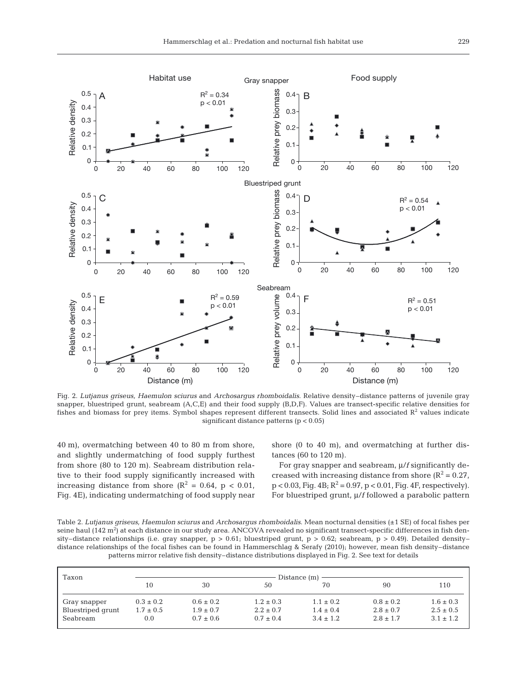

Fig. 2. *Lutjanus griseus, Haemulon sciurus* and *Archosargus rhomboidalis*. Relative density–distance patterns of juvenile gray snapper, bluestriped grunt, seabream (A,C,E) and their food supply (B,D,F). Values are transect-specific relative densities for fishes and biomass for prey items. Symbol shapes represent different transects. Solid lines and associated  $R<sup>2</sup>$  values indicate significant distance patterns (p < 0.05)

40 m), overmatching between 40 to 80 m from shore, and slightly undermatching of food supply furthest from shore (80 to 120 m). Seabream distribution relative to their food supply significantly increased with increasing distance from shore  $(R^2 = 0.64, p < 0.01,$ Fig. 4E), indicating undermatching of food supply near shore (0 to 40 m), and overmatching at further distances (60 to 120 m).

For gray snapper and seabream, μ/*f* significantly decreased with increasing distance from shore  $(R^2 = 0.27$ ,  $p < 0.03$ , Fig. 4B;  $R^2 = 0.97$ ,  $p < 0.01$ , Fig. 4F, respectively). For bluestriped grunt, μ/*f* followed a parabolic pattern

Table 2. *Lutjanus griseus, Haemulon sciurus* and *Archosargus rhomboidalis*. Mean nocturnal densities (±1 SE) of focal fishes per seine haul (142 m²) at each distance in our study area. ANCOVA revealed no significant transect-specific differences in fish density–distance relationships (i.e. gray snapper,  $p > 0.61$ ; bluestriped grunt,  $p > 0.62$ ; seabream,  $p > 0.49$ ). Detailed density– distance relationships of the focal fishes can be found in Hammerschlag & Serafy (2010); however, mean fish density–distance patterns mirror relative fish density–distance distributions displayed in Fig. 2. See text for details

| Taxon             | Distance (m)  |               |               |               |               |               |  |  |
|-------------------|---------------|---------------|---------------|---------------|---------------|---------------|--|--|
|                   | 10            | 30            | 50            | 70            | 90            | 110           |  |  |
| Gray snapper      | $0.3 \pm 0.2$ | $0.6 \pm 0.2$ | $1.2 \pm 0.3$ | $1.1 \pm 0.2$ | $0.8 \pm 0.2$ | $1.6 \pm 0.3$ |  |  |
| Bluestriped grunt | $1.7 \pm 0.5$ | $1.9 \pm 0.7$ | $2.2 \pm 0.7$ | $1.4 \pm 0.4$ | $2.8 \pm 0.7$ | $2.5 \pm 0.5$ |  |  |
| Seabream          | 0.0           | $0.7 \pm 0.6$ | $0.7 \pm 0.4$ | $3.4 \pm 1.2$ | $2.8 \pm 1.7$ | $3.1 \pm 1.2$ |  |  |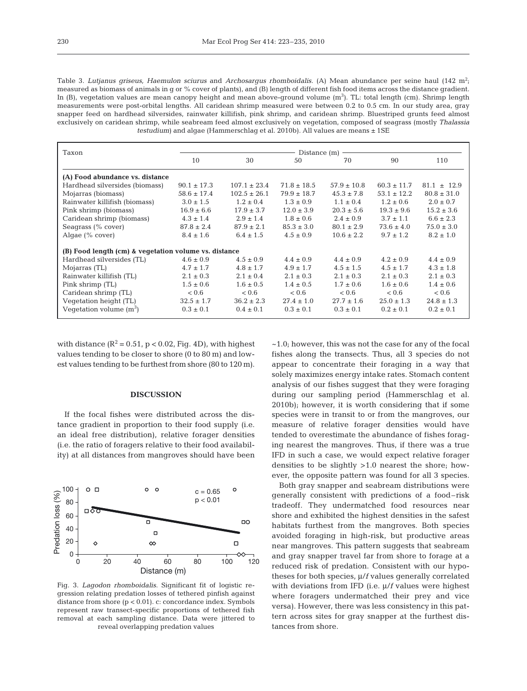Table 3. *Lutjanus griseus, Haemulon sciurus* and *Archosargus rhomboidalis*. (A) Mean abundance per seine haul (142 m<sup>2</sup>; measured as biomass of animals in g or % cover of plants), and (B) length of different fish food items across the distance gradient. In (B), vegetation values are mean canopy height and mean above-ground volume  $(\mathrm{m}^3)$ . TL: total length (cm). Shrimp length measurements were post-orbital lengths. All caridean shrimp measured were between 0.2 to 0.5 cm. In our study area, gray snapper feed on hardhead silversides, rainwater killifish, pink shrimp, and caridean shrimp. Bluestriped grunts feed almost exclusively on caridean shrimp, while seabream feed almost exclusively on vegetation, composed of seagrass (mostly *Thalassia testudium*) and algae (Hammerschlag et al. 2010b). All values are means ± 1SE

| Taxon                                                 | Distance (m)    |                  |                 |                 |                 |                 |  |
|-------------------------------------------------------|-----------------|------------------|-----------------|-----------------|-----------------|-----------------|--|
|                                                       | 10              | 30               | 50              | 70              | 90              | 110             |  |
| (A) Food abundance vs. distance                       |                 |                  |                 |                 |                 |                 |  |
| Hardhead silversides (biomass)                        | $90.1 \pm 17.3$ | $107.1 \pm 23.4$ | $71.8 \pm 18.5$ | $57.9 \pm 10.8$ | $60.3 \pm 11.7$ | $81.1 \pm 12.9$ |  |
| Mojarras (biomass)                                    | $58.6 \pm 17.4$ | $102.5 \pm 26.1$ | $79.9 \pm 18.7$ | $45.3 \pm 7.8$  | $53.1 \pm 12.2$ | $80.8 \pm 31.0$ |  |
| Rainwater killifish (biomass)                         | $3.0 \pm 1.5$   | $1.2 \pm 0.4$    | $1.3 \pm 0.9$   | $1.1 \pm 0.4$   | $1.2 \pm 0.6$   | $2.0 \pm 0.7$   |  |
| Pink shrimp (biomass)                                 | $16.9 \pm 6.6$  | $17.9 \pm 3.7$   | $12.0 \pm 3.9$  | $20.3 \pm 5.6$  | $19.3 \pm 9.6$  | $15.2 \pm 3.6$  |  |
| Caridean shrimp (biomass)                             | $4.3 \pm 1.4$   | $2.9 \pm 1.4$    | $1.8 \pm 0.6$   | $2.4 \pm 0.9$   | $3.7 \pm 1.1$   | $6.6 \pm 2.3$   |  |
| Seagrass (% cover)                                    | $87.8 \pm 2.4$  | $87.9 \pm 2.1$   | $85.3 \pm 3.0$  | $80.1 \pm 2.9$  | $73.6 \pm 4.0$  | $75.0 \pm 3.0$  |  |
| Algae $(\%$ cover)                                    | $8.4 \pm 1.6$   | $6.4 \pm 1.5$    | $4.5 \pm 0.9$   | $10.6 \pm 2.2$  | $9.7 \pm 1.2$   | $8.2 \pm 1.0$   |  |
| (B) Food length (cm) & vegetation volume vs. distance |                 |                  |                 |                 |                 |                 |  |
| Hardhead silversides (TL)                             | $4.6 \pm 0.9$   | $4.5 \pm 0.9$    | $4.4 \pm 0.9$   | $4.4 \pm 0.9$   | $4.2 \pm 0.9$   | $4.4 \pm 0.9$   |  |
| Mojarras (TL)                                         | $4.7 \pm 1.7$   | $4.8 \pm 1.7$    | $4.9 \pm 1.7$   | $4.5 \pm 1.5$   | $4.5 \pm 1.7$   | $4.3 \pm 1.8$   |  |
| Rainwater killifish (TL)                              | $2.1 \pm 0.3$   | $2.1 \pm 0.4$    | $2.1 \pm 0.3$   | $2.1 \pm 0.3$   | $2.1 \pm 0.3$   | $2.1 \pm 0.3$   |  |
| Pink shrimp (TL)                                      | $1.5 \pm 0.6$   | $1.6 \pm 0.5$    | $1.4 \pm 0.5$   | $1.7 \pm 0.6$   | $1.6 \pm 0.6$   | $1.4 \pm 0.6$   |  |
| Caridean shrimp (TL)                                  | < 0.6           | < 0.6            | < 0.6           | < 0.6           | < 0.6           | < 0.6           |  |
| Vegetation height (TL)                                | $32.5 \pm 1.7$  | $36.2 \pm 2.3$   | $27.4 \pm 1.0$  | $27.7 \pm 1.6$  | $25.0 \pm 1.3$  | $24.8 \pm 1.3$  |  |
| Vegetation volume $(m^3)$                             | $0.3 \pm 0.1$   | $0.4 \pm 0.1$    | $0.3 \pm 0.1$   | $0.3 \pm 0.1$   | $0.2 \pm 0.1$   | $0.2 \pm 0.1$   |  |

with distance  $(R^2 = 0.51, p < 0.02,$  Fig. 4D), with highest values tending to be closer to shore (0 to 80 m) and lowest values tending to be furthest from shore (80 to 120 m).

#### **DISCUSSION**

If the focal fishes were distributed across the distance gradient in proportion to their food supply (i.e. an ideal free distribution), relative forager densities (i.e. the ratio of foragers relative to their food availability) at all distances from mangroves should have been



Fig. 3. *Lagodon rhomboidalis*. Significant fit of logistic regression relating predation losses of tethered pinfish against distance from shore (p < 0.01). c: concordance index. Symbols represent raw transect-specific proportions of tethered fish removal at each sampling distance. Data were jittered to reveal overlapping predation values

 $\sim$ 1.0; however, this was not the case for any of the focal fishes along the transects. Thus, all 3 species do not appear to concentrate their foraging in a way that solely maximizes energy intake rates. Stomach content analysis of our fishes suggest that they were foraging during our sampling period (Hammerschlag et al. 2010b); however, it is worth considering that if some species were in transit to or from the mangroves, our measure of relative forager densities would have tended to overestimate the abundance of fishes foraging nearest the mangroves. Thus, if there was a true IFD in such a case, we would expect relative forager densities to be slightly >1.0 nearest the shore; however, the opposite pattern was found for all 3 species.

Both gray snapper and seabream distributions were generally consistent with predictions of a food–risk tradeoff. They undermatched food resources near shore and exhibited the highest densities in the safest habitats furthest from the mangroves. Both species avoided foraging in high-risk, but productive areas near mangroves. This pattern suggests that seabream and gray snapper travel far from shore to forage at a reduced risk of predation. Consistent with our hypotheses for both species, μ/*f* values generally correlated with deviations from IFD (i.e. μ/*f* values were highest where foragers undermatched their prey and vice versa). However, there was less consistency in this pattern across sites for gray snapper at the furthest distances from shore.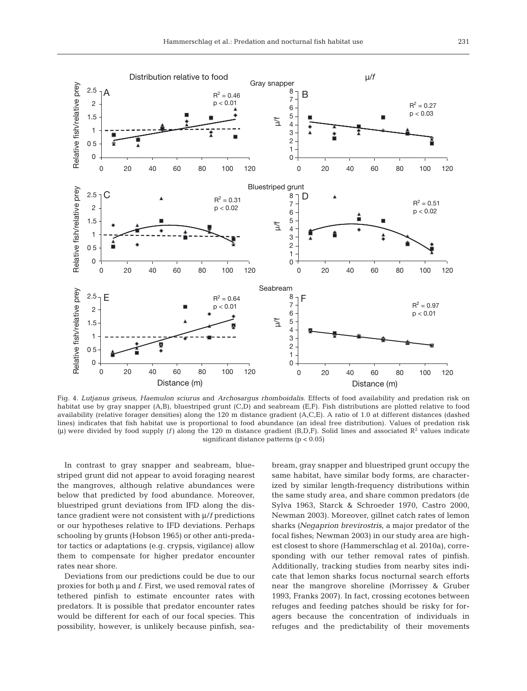

Fig. 4. *Lutjanus griseus, Haemulon sciurus* and *Archosargus rhomboidalis*. Effects of food availability and predation risk on habitat use by gray snapper (A,B), bluestriped grunt (C,D) and seabream (E,F). Fish distributions are plotted relative to food availability (relative forager densities) along the 120 m distance gradient (A,C,E). A ratio of 1.0 at different distances (dashed lines) indicates that fish habitat use is proportional to food abundance (an ideal free distribution). Values of predation risk (μ) were divided by food supply (*f*) along the 120 m distance gradient (B,D,F). Solid lines and associated  $R<sup>2</sup>$  values indicate significant distance patterns (p < 0.05)

In contrast to gray snapper and seabream, bluestriped grunt did not appear to avoid foraging nearest the mangroves, although relative abundances were below that predicted by food abundance. Moreover, bluestriped grunt deviations from IFD along the distance gradient were not consistent with μ/*f* predictions or our hypotheses relative to IFD deviations. Perhaps schooling by grunts (Hobson 1965) or other anti-predator tactics or adaptations (e.g. crypsis, vigilance) allow them to compensate for higher predator encounter rates near shore.

Deviations from our predictions could be due to our proxies for both μ and *f*. First, we used removal rates of tethered pinfish to estimate encounter rates with predators. It is possible that predator encounter rates would be different for each of our focal species. This possibility, however, is unlikely because pinfish, seabream, gray snapper and bluestriped grunt occupy the same habitat, have similar body forms, are characterized by similar length-frequency distributions within the same study area, and share common predators (de Sylva 1963, Starck & Schroeder 1970, Castro 2000, Newman 2003). Moreover, gillnet catch rates of lemon sharks *(Negaprion brevirostris*, a major predator of the focal fishes; Newman 2003) in our study area are highest closest to shore (Hammerschlag et al. 2010a), corresponding with our tether removal rates of pinfish. Additionally, tracking studies from nearby sites indicate that lemon sharks focus nocturnal search efforts near the mangrove shoreline (Morrissey & Gruber 1993, Franks 2007). In fact, crossing ecotones between refuges and feeding patches should be risky for foragers because the concentration of individuals in refuges and the predictability of their movements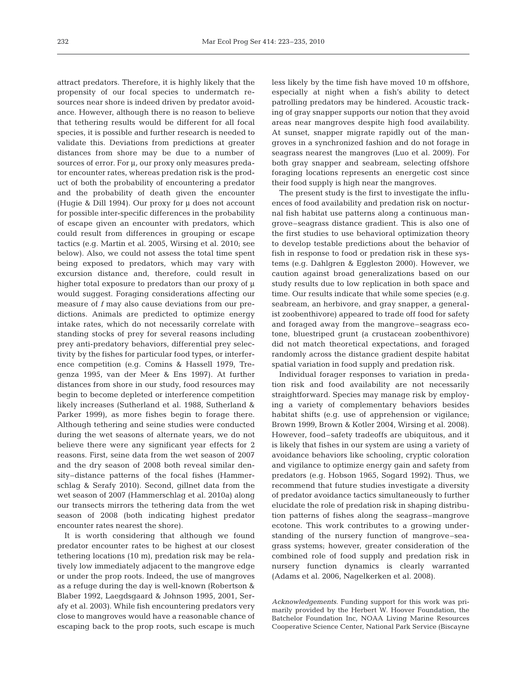attract predators. Therefore, it is highly likely that the propensity of our focal species to undermatch resources near shore is indeed driven by predator avoidance. However, although there is no reason to believe that tethering results would be different for all focal species, it is possible and further research is needed to validate this. Deviations from predictions at greater distances from shore may be due to a number of sources of error. For μ*,* our proxy only measures predator encounter rates, whereas predation risk is the product of both the probability of encountering a predator and the probability of death given the encounter (Hugie & Dill 1994). Our proxy for μ does not account for possible inter-specific differences in the probability of escape given an encounter with predators, which could result from differences in grouping or escape tactics (e.g. Martin et al. 2005, Wirsing et al. 2010; see below). Also, we could not assess the total time spent being exposed to predators, which may vary with excursion distance and, therefore, could result in higher total exposure to predators than our proxy of μ would suggest. Foraging considerations affecting our measure of *f* may also cause deviations from our predictions. Animals are predicted to optimize energy intake rates, which do not necessarily correlate with standing stocks of prey for several reasons including prey anti-predatory behaviors, differential prey selectivity by the fishes for particular food types, or interference competition (e.g. Comins & Hassell 1979, Tregenza 1995, van der Meer & Ens 1997). At further distances from shore in our study, food resources may begin to become depleted or interference competition likely increases (Sutherland et al. 1988, Sutherland & Parker 1999), as more fishes begin to forage there. Although tethering and seine studies were conducted during the wet seasons of alternate years, we do not believe there were any significant year effects for 2 reasons. First, seine data from the wet season of 2007 and the dry season of 2008 both reveal similar density–distance patterns of the focal fishes (Hammerschlag & Serafy 2010). Second, gillnet data from the wet season of 2007 (Hammerschlag et al. 2010a) along our transects mirrors the tethering data from the wet season of 2008 (both indicating highest predator encounter rates nearest the shore).

It is worth considering that although we found predator encounter rates to be highest at our closest tethering locations (10 m), predation risk may be relatively low immediately adjacent to the mangrove edge or under the prop roots. Indeed, the use of mangroves as a refuge during the day is well-known (Robertson & Blaber 1992, Laegdsgaard & Johnson 1995, 2001, Serafy et al. 2003). While fish encountering predators very close to mangroves would have a reasonable chance of escaping back to the prop roots, such escape is much less likely by the time fish have moved 10 m offshore, especially at night when a fish's ability to detect patrolling predators may be hindered. Acoustic tracking of gray snapper supports our notion that they avoid areas near mangroves despite high food availability. At sunset, snapper migrate rapidly out of the mangroves in a synchronized fashion and do not forage in seagrass nearest the mangroves (Luo et al. 2009). For both gray snapper and seabream, selecting offshore foraging locations represents an energetic cost since their food supply is high near the mangroves.

The present study is the first to investigate the influences of food availability and predation risk on nocturnal fish habitat use patterns along a continuous mangrove–seagrass distance gradient. This is also one of the first studies to use behavioral optimization theory to develop testable predictions about the behavior of fish in response to food or predation risk in these systems (e.g. Dahlgren & Eggleston 2000). However, we caution against broad generalizations based on our study results due to low replication in both space and time. Our results indicate that while some species (e.g. seabream, an herbivore, and gray snapper, a generalist zoobenthivore) appeared to trade off food for safety and foraged away from the mangrove–seagrass ecotone, bluestriped grunt (a crustacean zoobenthivore) did not match theoretical expectations, and foraged randomly across the distance gradient despite habitat spatial variation in food supply and predation risk.

Individual forager responses to variation in predation risk and food availability are not necessarily straightforward. Species may manage risk by employing a variety of complementary behaviors besides habitat shifts (e.g. use of apprehension or vigilance; Brown 1999, Brown & Kotler 2004, Wirsing et al. 2008). However, food–safety tradeoffs are ubiquitous, and it is likely that fishes in our system are using a variety of avoidance behaviors like schooling, cryptic coloration and vigilance to optimize energy gain and safety from predators (e.g. Hobson 1965, Sogard 1992). Thus, we recommend that future studies investigate a diversity of predator avoidance tactics simultaneously to further elucidate the role of predation risk in shaping distribution patterns of fishes along the seagrass–mangrove ecotone. This work contributes to a growing understanding of the nursery function of mangrove–seagrass systems; however, greater consideration of the combined role of food supply and predation risk in nursery function dynamics is clearly warranted (Adams et al. 2006, Nagelkerken et al. 2008).

*Acknowledgements*. Funding support for this work was primarily provided by the Herbert W. Hoover Foundation, the Batchelor Foundation Inc, NOAA Living Marine Resources Cooperative Science Center, National Park Service (Biscayne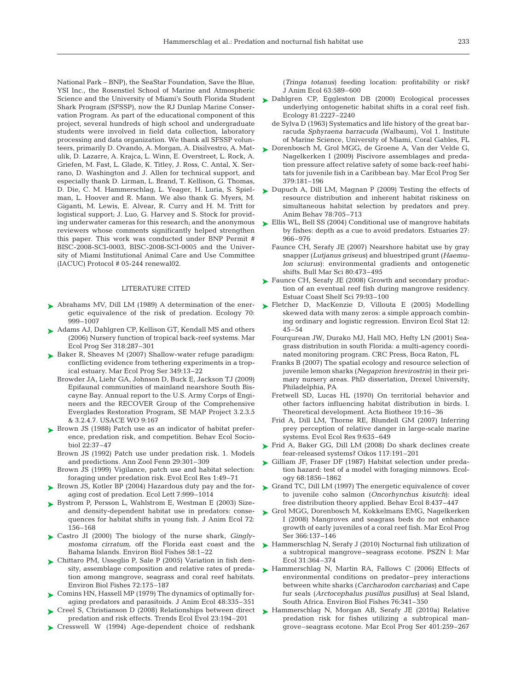National Park – BNP), the SeaStar Foundation, Save the Blue, YSI Inc., the Rosenstiel School of Marine and Atmospheric Shark Program (SFSSP), now the RJ Dunlap Marine Conservation Program. As part of the educational component of this project, several hundreds of high school and undergraduate students were involved in field data collection, laboratory processing and data organization. We thank all SFSSP volunteers, primarily D. Ovando, A. Morgan, A. Disilvestro, A. Matulik, D. Lazarre, A. Krajca, L. Winn, E. Overstreet, L. Rock, A. Griefen, M. Fast, L. Glade, K. Titley, J. Ross, C. Antal, X. Serrano, D. Washington and J. Allen for technical support, and especially thank D. Lirman, L. Brand, T. Kellison, G. Thomas, D. Die, C. M. Hammerschlag, L. Yeager, H. Luria, S. Spielman, L. Hoover and R. Mann. We also thank G. Myers, M. Giganti, M. Lewis, E. Alvear, R. Curry and H. M. Tritt for logistical support; J. Luo, G. Harvey and S. Stock for providing underwater cameras for this research; and the anonymous reviewers whose comments significantly helped strengthen this paper. This work was conducted under BNP Permit # BISC-2008-SCI-0003, BISC-2008-SCI-0005 and the University of Miami Institutional Animal Care and Use Committee (IACUC) Protocol # 05-244 renewal02.

#### LITERATURE CITED

- ▶ Abrahams MV, Dill LM (1989) A determination of the energetic equivalence of the risk of predation. Ecology 70: 999–1007
- ► Adams AJ, Dahlgren CP, Kellison GT, Kendall MS and others (2006) Nursery function of tropical back-reef systems. Mar Ecol Prog Ser 318:287–301
- ▶ Baker R, Sheaves M (2007) Shallow-water refuge paradigm: conflicting evidence from tethering experiments in a tropical estuary. Mar Ecol Prog Ser 349:13–22
	- Browder JA, Liehr GA, Johnson D, Buck E, Jackson TJ (2009) Epifaunal communities of mainland nearshore South Biscayne Bay. Annual report to the U.S. Army Corps of Engineers and the RECOVER Group of the Comprehensive Everglades Restoration Program, SE MAP Project 3.2.3.5 & 3.2.4.7. USACE WO 9:167
- ▶ Brown JS (1988) Patch use as an indicator of habitat preference, predation risk, and competition. Behav Ecol Sociobiol 22:37–47
	- Brown JS (1992) Patch use under predation risk. 1. Models and predictions. Ann Zool Fenn 29:301–309
	- Brown JS (1999) Vigilance, patch use and habitat selection: foraging under predation risk. Evol Ecol Res 1:49–71
- ► Brown JS, Kotler BP (2004) Hazardous duty pay and the foraging cost of predation. Ecol Lett 7:999–1014
- ► Bystrom P, Persson L, Wahlstrom E, Westman E (2003) Sizeand density-dependent habitat use in predators: consequences for habitat shifts in young fish. J Anim Ecol 72: 156–168
- ▶ Castro JI (2000) The biology of the nurse shark, *Ginglymostoma cirratum*, off the Florida east coast and the Bahama Islands. Environ Biol Fishes 58:1–22
- Chittaro PM, Usseglio P, Sale P (2005) Variation in fish den-➤ sity, assemblage composition and relative rates of predation among mangrove, seagrass and coral reef habitats. Environ Biol Fishes 72:175–187
- ► Comins HN, Hassell MP (1979) The dynamics of optimally foraging predators and parasitoids. J Anim Ecol 48:335–351
- Creel S, Christianson D (2008) Relationships between direct predation and risk effects. Trends Ecol Evol 23:194–201 ➤
- Cresswell W (1994) Age-dependent choice of redshank ➤

(*Tringa totanus*) feeding location: profitability or risk? J Anim Ecol 63:589–600

- Science and the University of Miami's South Florida Student > Dahlgren CP, Eggleston DB (2000) Ecological processes underlying ontogenetic habitat shifts in a coral reef fish. Ecology 81:2227–2240
	- de Sylva D (1963) Systematics and life history of the great barracuda *Sphyraena barracuda* (Walbaum), Vol 1. Institute of Marine Science, University of Miami, Coral Gables, FL
	- ► Dorenbosch M, Grol MGG, de Groene A, Van der Velde G, Nagelkerken I (2009) Piscivore assemblages and predation pressure affect relative safety of some back-reef habitats for juvenile fish in a Caribbean bay. Mar Ecol Prog Ser 379:181–196
	- ► Dupuch A, Dill LM, Magnan P (2009) Testing the effects of resource distribution and inherent habitat riskiness on simultaneous habitat selection by predators and prey. Anim Behav 78:705–713
	- ► Ellis WL, Bell SS (2004) Conditional use of mangrove habitats by fishes: depth as a cue to avoid predators. Estuaries 27: 966–976
		- Faunce CH, Serafy JE (2007) Nearshore habitat use by gray snapper (*Lutjanus griseus*) and bluestriped grunt (*Haemulon sciurus*): environmental gradients and ontogenetic shifts. Bull Mar Sci 80:473–495
	- ► Faunce CH, Serafy JE (2008) Growth and secondary production of an eventual reef fish during mangrove residency. Estuar Coast Shelf Sci 79:93–100
	- ▶ Fletcher D, MacKenzie D, Villouta E (2005) Modelling skewed data with many zeros: a simple approach combining ordinary and logistic regression. Environ Ecol Stat 12: 45–54
		- Fourqurean JW, Durako MJ, Hall MO, Hefty LN (2001) Seagrass distribution in south Florida: a multi-agency coordinated monitoring program. CRC Press, Boca Raton, FL
		- Franks B (2007) The spatial ecology and resource selection of juvenile lemon sharks (*Negaprion brevirostris*) in their primary nursery areas. PhD dissertation, Drexel University, Philadelphia, PA
		- Fretwell SD, Lucas HL (1970) On territorial behavior and other factors influencing habitat distribution in birds. I. Theoretical development. Acta Biotheor 19:16–36
		- Frid A, Dill LM, Thorne RE, Blundell GM (2007) Inferring prey perception of relative danger in large-scale marine systems. Evol Ecol Res 9:635–649
	- ► Frid A, Baker GG, Dill LM (2008) Do shark declines create fear-released systems? Oikos 117:191–201
	- ► Gilliam JF, Fraser DF (1987) Habitat selection under predation hazard: test of a model with foraging minnows. Ecology 68:1856–1862
	- ► Grand TC, Dill LM (1997) The energetic equivalence of cover to juvenile coho salmon (*Oncorhynchus kisutch*): ideal free distribution theory applied. Behav Ecol 8:437–447
	- ► Grol MGG, Dorenbosch M, Kokkelmans EMG, Nagelkerken I (2008) Mangroves and seagrass beds do not enhance growth of early juveniles of a coral reef fish. Mar Ecol Prog Ser 366:137–146
	- ► Hammerschlag N, Serafy J (2010) Nocturnal fish utilization of a subtropical mangrove–seagrass ecotone. PSZN I: Mar Ecol 31:364–374
	- ▶ Hammerschlag N, Martin RA, Fallows C (2006) Effects of environmental conditions on predator–prey interactions between white sharks (*Carcharodon carcharias*) and Cape fur seals (*Arctocephalus pusillus pusillus*) at Seal Island, South Africa. Environ Biol Fishes 76:341–350
	- ▶ Hammerschlag N, Morgan AB, Serafy JE (2010a) Relative predation risk for fishes utilizing a subtropical mangrove–seagrass ecotone. Mar Ecol Prog Ser 401:259–267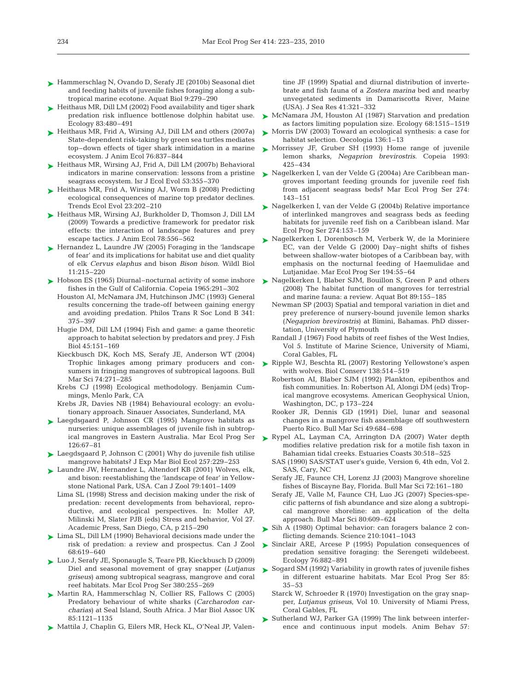- ► Hammerschlag N, Ovando D, Serafy JE (2010b) Seasonal diet and feeding habits of juvenile fishes foraging along a subtropical marine ecotone. Aquat Biol 9:279–290
- ► Heithaus MR, Dill LM (2002) Food availability and tiger shark predation risk influence bottlenose dolphin habitat use. Ecology 83:480–491
- ► Heithaus MR, Frid A, Wirsing AJ, Dill LM and others (2007a) State-dependent risk-taking by green sea turtles mediates top–down effects of tiger shark intimidation in a marine ecosystem. J Anim Ecol 76:837–844
- ► Heithaus MR, Wirsing AJ, Frid A, Dill LM (2007b) Behavioral indicators in marine conservation: lessons from a pristine seagrass ecosystem. Isr J Ecol Evol 53:355–370
- ► Heithaus MR, Frid A, Wirsing AJ, Worm B (2008) Predicting ecological consequences of marine top predator declines. Trends Ecol Evol 23:202–210
- ► Heithaus MR, Wirsing AJ, Burkholder D, Thomson J, Dill LM (2009) Towards a predictive framework for predator risk effects: the interaction of landscape features and prey escape tactics. J Anim Ecol 78:556–562
- ► Hernandez L, Laundre JW (2005) Foraging in the 'landscape of fear' and its implications for habitat use and diet quality of elk *Cervus elaphus* and bison *Bison bison*. Wildl Biol 11:215–220
- ► Hobson ES (1965) Diurnal–nocturnal activity of some inshore fishes in the Gulf of California. Copeia 1965:291–302
	- Houston AI, McNamara JM, Hutchinson JMC (1993) General results concerning the trade-off between gaining energy and avoiding predation. Philos Trans R Soc Lond B 341: 375–397
	- Hugie DM, Dill LM (1994) Fish and game: a game theoretic approach to habitat selection by predators and prey. J Fish Biol 45:151–169
	- Kieckbusch DK, Koch MS, Serafy JE, Anderson WT (2004) Trophic linkages among primary producers and consumers in fringing mangroves of subtropical lagoons. Bull Mar Sci 74:271–285
	- Krebs CJ (1998) Ecological methodology. Benjamin Cummings, Menlo Park, CA
	- Krebs JR, Davies NB (1984) Behavioural ecology: an evolutionary approach. Sinauer Associates, Sunderland, MA
- Laegdsgaard P, Johnson CR (1995) Mangrove habitats as ➤ nurseries: unique assemblages of juvenile fish in subtropical mangroves in Eastern Australia. Mar Ecol Prog Ser 126:67–81
- Laegdsgaard P, Johnson C (2001) Why do juvenile fish utilise ➤ mangrove habitats? J Exp Mar Biol Ecol 257:229–253
- ► Laundre JW, Hernandez L, Altendorf KB (2001) Wolves, elk, and bison: reestablishing the 'landscape of fear' in Yellowstone National Park, USA. Can J Zool 79:1401–1409
	- Lima SL (1998) Stress and decision making under the risk of predation: recent developments from behavioral, reproductive, and ecological perspectives. In: Moller AP, Milinski M, Slater PJB (eds) Stress and behavior, Vol 27. Academic Press, San Diego, CA, p 215–290
- ► Lima SL, Dill LM (1990) Behavioral decisions made under the risk of predation: a review and prospectus. Can J Zool 68:619–640
- ► Luo J, Serafy JE, Sponaugle S, Teare PB, Kieckbusch D (2009) Diel and seasonal movement of gray snapper (*Lutjanus griseus*) among subtropical seagrass, mangrove and coral reef habitats. Mar Ecol Prog Ser 380:255–269
- ▶ Martin RA, Hammerschlag N, Collier RS, Fallows C (2005) Predatory behaviour of white sharks (*Carcharodon carcharias*) at Seal Island, South Africa. J Mar Biol Assoc UK 85:1121–1135
- ▶ Mattila J, Chaplin G, Eilers MR, Heck KL, O'Neal JP, Valen-

tine JF (1999) Spatial and diurnal distribution of invertebrate and fish fauna of a *Zostera marina* bed and nearby unvegetated sediments in Damariscotta River, Maine (USA). J Sea Res 41:321–332

- ► McNamara JM, Houston AI (1987) Starvation and predation as factors limiting population size. Ecology 68:1515–1519
- ► Morris DW (2003) Toward an ecological synthesis: a case for habitat selection. Oecologia 136:1–13
- ► Morrissey JF, Gruber SH (1993) Home range of juvenile lemon sharks, *Negaprion brevirostris*. Copeia 1993: 425–434
- ► Nagelkerken I, van der Velde G (2004a) Are Caribbean mangroves important feeding grounds for juvenile reef fish from adjacent seagrass beds? Mar Ecol Prog Ser 274: 143–151
- ► Nagelkerken I, van der Velde G (2004b) Relative importance of interlinked mangroves and seagrass beds as feeding habitats for juvenile reef fish on a Caribbean island. Mar Ecol Prog Ser 274:153–159
- ► Nagelkerken I, Dorenbosch M, Verberk W, de la Moriniere EC, van der Velde G (2000) Day–night shifts of fishes between shallow-water biotopes of a Caribbean bay, with emphasis on the nocturnal feeding of Haemulidae and Lutjanidae. Mar Ecol Prog Ser 194:55–64
- ► Nagelkerken I, Blaber SJM, Bouillon S, Green P and others (2008) The habitat function of mangroves for terrestrial and marine fauna: a review. Aquat Bot 89:155–185
	- Newman SP (2003) Spatial and temporal variation in diet and prey preference of nursery-bound juvenile lemon sharks (*Negaprion brevirostris*) at Bimini, Bahamas. PhD dissertation, University of Plymouth
	- Randall J (1967) Food habits of reef fishes of the West Indies, Vol 5. Institute of Marine Science, University of Miami, Coral Gables, FL
- ► Ripple WJ, Beschta RL (2007) Restoring Yellowstone's aspen with wolves. Biol Conserv 138:514–519
	- Robertson AI, Blaber SJM (1992) Plankton, epibenthos and fish communities. In: Robertson AI, Alongi DM (eds) Tropical mangrove ecosystems. American Geophysical Union, Washington, DC, p 173–224
	- Rooker JR, Dennis GD (1991) Diel, lunar and seasonal changes in a mangrove fish assemblage off southwestern Puerto Rico. Bull Mar Sci 49:684–698
- ▶ Rypel AL, Layman CA, Arrington DA (2007) Water depth modifies relative predation risk for a motile fish taxon in Bahamian tidal creeks. Estuaries Coasts 30:518–525
	- SAS (1990) SAS/STAT user's guide, Version 6, 4th edn, Vol 2. SAS, Cary, NC
	- Serafy JE, Faunce CH, Lorenz JJ (2003) Mangrove shoreline fishes of Biscayne Bay, Florida. Bull Mar Sci 72:161–180
	- Serafy JE, Valle M, Faunce CH, Luo JG (2007) Species-specific patterns of fish abundance and size along a subtropical mangrove shoreline: an application of the delta approach. Bull Mar Sci 80:609–624
- ► Sih A (1980) Optimal behavior: can foragers balance 2 conflicting demands. Science 210:1041–1043
- ▶ Sinclair ARE, Arcese P (1995) Population consequences of predation sensitive foraging: the Serengeti wildebeest. Ecology 76:882–891
- ► Sogard SM (1992) Variability in growth rates of juvenile fishes in different estuarine habitats. Mar Ecol Prog Ser 85: 35–53
	- Starck W, Schroeder R (1970) Investigation on the gray snapper, *Lutjanus griseus*, Vol 10. University of Miami Press, Coral Gables, FL
- ► Sutherland WJ, Parker GA (1999) The link between interference and continuous input models. Anim Behav 57: